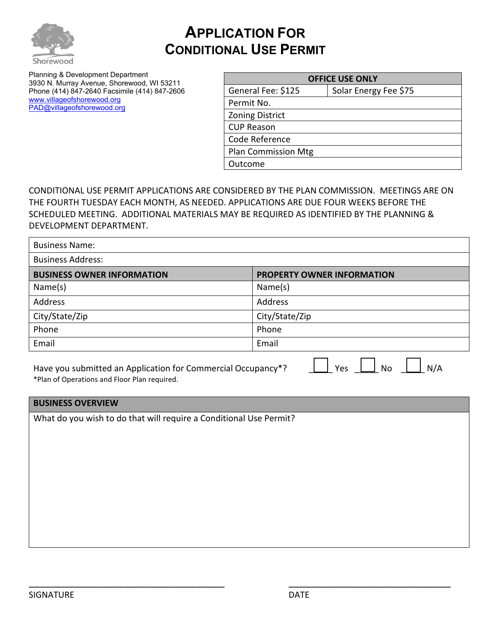

## **APPLICATION FOR CONDITIONAL USE PERMIT**

Planning & Development Department 3930 N. Murray Avenue, Shorewood, WI 53211 Phone (414) 847-2640 Facsimile (414) 847-2606 [www.villageofshorewood.org](http://www.villageofshorewood.org/) [PAD@villageofshorewood.org](mailto:PAD@villageofshorewood.org)

| <b>OFFICE USE ONLY</b>     |                       |  |
|----------------------------|-----------------------|--|
| General Fee: \$125         | Solar Energy Fee \$75 |  |
| Permit No.                 |                       |  |
| <b>Zoning District</b>     |                       |  |
| <b>CUP Reason</b>          |                       |  |
| Code Reference             |                       |  |
| <b>Plan Commission Mtg</b> |                       |  |
| Outcome                    |                       |  |

CONDITIONAL USE PERMIT APPLICATIONS ARE CONSIDERED BY THE PLAN COMMISSION. MEETINGS ARE ON THE FOURTH TUESDAY EACH MONTH, AS NEEDED. APPLICATIONS ARE DUE FOUR WEEKS BEFORE THE SCHEDULED MEETING. ADDITIONAL MATERIALS MAY BE REQUIRED AS IDENTIFIED BY THE PLANNING & DEVELOPMENT DEPARTMENT.

| <b>Business Name:</b>             |                                   |
|-----------------------------------|-----------------------------------|
| <b>Business Address:</b>          |                                   |
| <b>BUSINESS OWNER INFORMATION</b> | <b>PROPERTY OWNER INFORMATION</b> |
| Name(s)                           | Name(s)                           |
| <b>Address</b>                    | Address                           |
| City/State/Zip                    | City/State/Zip                    |
| Phone                             | Phone                             |
| Email                             | Email                             |

Have you submitted an Application for Commercial Occupancy\*?  $\Box$  Yes  $\Box$  No  $\Box$  N/A \*Plan of Operations and Floor Plan required.

## **BUSINESS OVERVIEW**

What do you wish to do that will require a Conditional Use Permit?

\_\_\_\_\_\_\_\_\_\_\_\_\_\_\_\_\_\_\_\_\_\_\_\_\_\_\_\_\_\_\_\_\_\_\_ \_\_\_\_\_\_\_\_\_\_\_\_\_\_\_\_\_\_\_\_\_\_\_\_\_\_\_\_\_